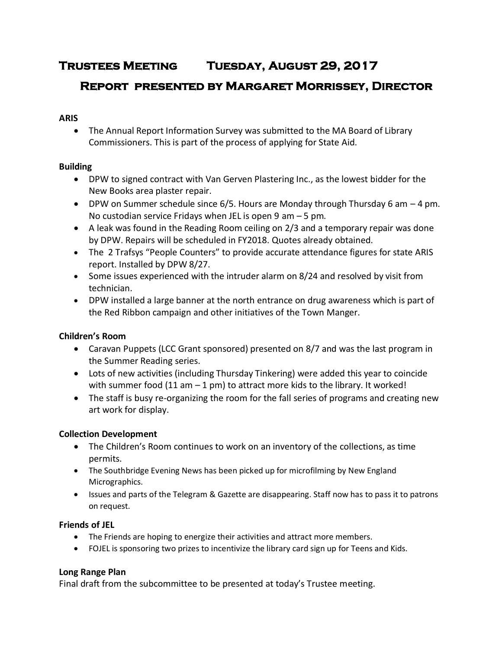# **Trustees Meeting Tuesday, August 29, 2017**

# **Report presented by Margaret Morrissey, Director**

## **ARIS**

 The Annual Report Information Survey was submitted to the MA Board of Library Commissioners. This is part of the process of applying for State Aid.

## **Building**

- DPW to signed contract with Van Gerven Plastering Inc., as the lowest bidder for the New Books area plaster repair.
- DPW on Summer schedule since  $6/5$ . Hours are Monday through Thursday 6 am  $-4$  pm. No custodian service Fridays when JEL is open 9 am – 5 pm.
- A leak was found in the Reading Room ceiling on 2/3 and a temporary repair was done by DPW. Repairs will be scheduled in FY2018. Quotes already obtained.
- The 2 Trafsys "People Counters" to provide accurate attendance figures for state ARIS report. Installed by DPW 8/27.
- Some issues experienced with the intruder alarm on 8/24 and resolved by visit from technician.
- DPW installed a large banner at the north entrance on drug awareness which is part of the Red Ribbon campaign and other initiatives of the Town Manger.

# **Children's Room**

- Caravan Puppets (LCC Grant sponsored) presented on 8/7 and was the last program in the Summer Reading series.
- Lots of new activities (including Thursday Tinkering) were added this year to coincide with summer food (11 am  $-1$  pm) to attract more kids to the library. It worked!
- The staff is busy re-organizing the room for the fall series of programs and creating new art work for display.

# **Collection Development**

- The Children's Room continues to work on an inventory of the collections, as time permits.
- The Southbridge Evening News has been picked up for microfilming by New England Micrographics.
- Issues and parts of the Telegram & Gazette are disappearing. Staff now has to pass it to patrons on request.

# **Friends of JEL**

- The Friends are hoping to energize their activities and attract more members.
- FOJEL is sponsoring two prizes to incentivize the library card sign up for Teens and Kids.

# **Long Range Plan**

Final draft from the subcommittee to be presented at today's Trustee meeting.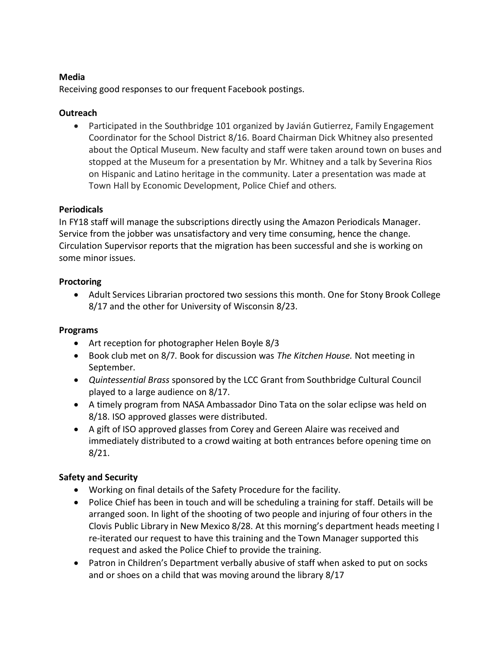#### **Media**

Receiving good responses to our frequent Facebook postings.

## **Outreach**

 Participated in the Southbridge 101 organized by Javián Gutierrez, Family Engagement Coordinator for the School District 8/16. Board Chairman Dick Whitney also presented about the Optical Museum. New faculty and staff were taken around town on buses and stopped at the Museum for a presentation by Mr. Whitney and a talk by Severina Rios on Hispanic and Latino heritage in the community. Later a presentation was made at Town Hall by Economic Development, Police Chief and others.

## **Periodicals**

In FY18 staff will manage the subscriptions directly using the Amazon Periodicals Manager. Service from the jobber was unsatisfactory and very time consuming, hence the change. Circulation Supervisor reports that the migration has been successful and she is working on some minor issues.

## **Proctoring**

 Adult Services Librarian proctored two sessions this month. One for Stony Brook College 8/17 and the other for University of Wisconsin 8/23.

#### **Programs**

- Art reception for photographer Helen Boyle 8/3
- Book club met on 8/7. Book for discussion was *The Kitchen House.* Not meeting in September.
- *Quintessential Brass* sponsored by the LCC Grant from Southbridge Cultural Council played to a large audience on 8/17.
- A timely program from NASA Ambassador Dino Tata on the solar eclipse was held on 8/18. ISO approved glasses were distributed.
- A gift of ISO approved glasses from Corey and Gereen Alaire was received and immediately distributed to a crowd waiting at both entrances before opening time on 8/21.

# **Safety and Security**

- Working on final details of the Safety Procedure for the facility.
- Police Chief has been in touch and will be scheduling a training for staff. Details will be arranged soon. In light of the shooting of two people and injuring of four others in the Clovis Public Library in New Mexico 8/28. At this morning's department heads meeting I re-iterated our request to have this training and the Town Manager supported this request and asked the Police Chief to provide the training.
- Patron in Children's Department verbally abusive of staff when asked to put on socks and or shoes on a child that was moving around the library 8/17